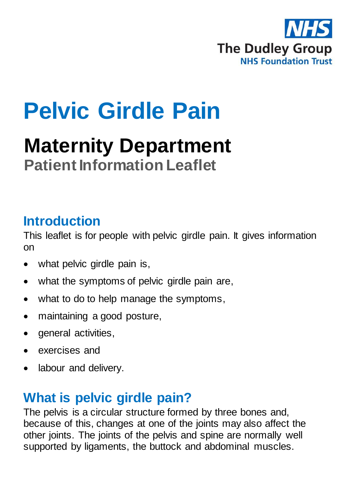

# **Pelvic Girdle Pain**

## **Maternity Department Patient Information Leaflet**

#### **Introduction**

This leaflet is for people with pelvic girdle pain. It gives information on

- what pelvic girdle pain is,
- what the symptoms of pelvic girdle pain are,
- what to do to help manage the symptoms,
- maintaining a good posture,
- general activities,
- exercises and
- labour and delivery.

### **What is pelvic girdle pain?**

The pelvis is a circular structure formed by three bones and, because of this, changes at one of the joints may also affect the other joints. The joints of the pelvis and spine are normally well supported by ligaments, the buttock and abdominal muscles.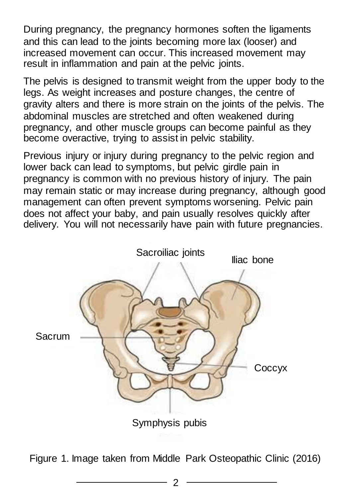During pregnancy, the pregnancy hormones soften the ligaments and this can lead to the joints becoming more lax (looser) and increased movement can occur. This increased movement may result in inflammation and pain at the pelvic joints.

The pelvis is designed to transmit weight from the upper body to the legs. As weight increases and posture changes, the centre of gravity alters and there is more strain on the joints of the pelvis. The abdominal muscles are stretched and often weakened during pregnancy, and other muscle groups can become painful as they become overactive, trying to assist in pelvic stability.

Previous injury or injury during pregnancy to the pelvic region and lower back can lead to symptoms, but pelvic girdle pain in pregnancy is common with no previous history of injury. The pain may remain static or may increase during pregnancy, although good management can often prevent symptoms worsening. Pelvic pain does not affect your baby, and pain usually resolves quickly after delivery. You will not necessarily have pain with future pregnancies.



Figure 1. Image taken from Middle Park Osteopathic Clinic (2016)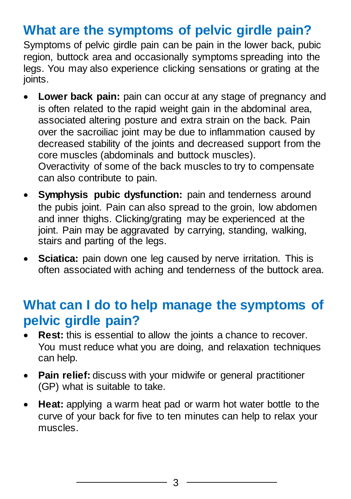### **What are the symptoms of pelvic girdle pain?**

Symptoms of pelvic girdle pain can be pain in the lower back, pubic region, buttock area and occasionally symptoms spreading into the legs. You may also experience clicking sensations or grating at the joints.

- **Lower back pain:** pain can occur at any stage of pregnancy and is often related to the rapid weight gain in the abdominal area, associated altering posture and extra strain on the back. Pain over the sacroiliac joint may be due to inflammation caused by decreased stability of the joints and decreased support from the core muscles (abdominals and buttock muscles). Overactivity of some of the back muscles to try to compensate can also contribute to pain.
- **Symphysis pubic dysfunction:** pain and tenderness around the pubis joint. Pain can also spread to the groin, low abdomen and inner thighs. Clicking/grating may be experienced at the joint. Pain may be aggravated by carrying, standing, walking, stairs and parting of the legs.
- **Sciatica:** pain down one leg caused by nerve irritation. This is often associated with aching and tenderness of the buttock area.

#### **What can I do to help manage the symptoms of pelvic girdle pain?**

- **Rest:** this is essential to allow the joints a chance to recover. You must reduce what you are doing, and relaxation techniques can help.
- **Pain relief:** discuss with your midwife or general practitioner (GP) what is suitable to take.
- **Heat:** applying a warm heat pad or warm hot water bottle to the curve of your back for five to ten minutes can help to relax your muscles.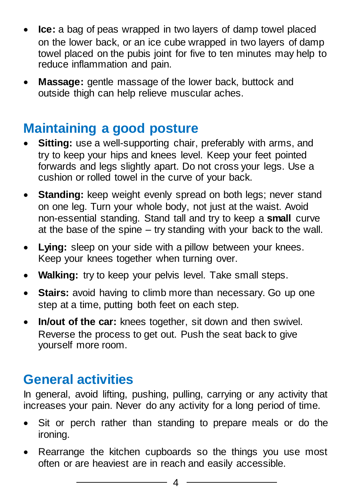- **Ice:** a bag of peas wrapped in two layers of damp towel placed on the lower back, or an ice cube wrapped in two layers of damp towel placed on the pubis joint for five to ten minutes may help to reduce inflammation and pain.
- **Massage:** gentle massage of the lower back, buttock and outside thigh can help relieve muscular aches.

### **Maintaining a good posture**

- **Sitting:** use a well-supporting chair, preferably with arms, and try to keep your hips and knees level. Keep your feet pointed forwards and legs slightly apart. Do not cross your legs. Use a cushion or rolled towel in the curve of your back.
- **Standing:** keep weight evenly spread on both legs; never stand on one leg. Turn your whole body, not just at the waist. Avoid non-essential standing. Stand tall and try to keep a **small** curve at the base of the spine – try standing with your back to the wall.
- **Lying:** sleep on your side with a pillow between your knees. Keep your knees together when turning over.
- **Walking:** try to keep your pelvis level. Take small steps.
- **Stairs:** avoid having to climb more than necessary. Go up one step at a time, putting both feet on each step.
- **In/out of the car:** knees together, sit down and then swivel. Reverse the process to get out. Push the seat back to give yourself more room.

### **General activities**

In general, avoid lifting, pushing, pulling, carrying or any activity that increases your pain. Never do any activity for a long period of time.

- Sit or perch rather than standing to prepare meals or do the ironing.
- Rearrange the kitchen cupboards so the things you use most often or are heaviest are in reach and easily accessible.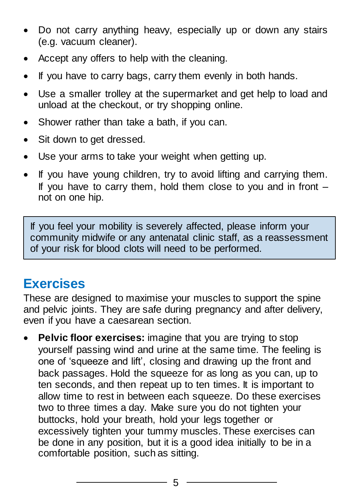- Do not carry anything heavy, especially up or down any stairs (e.g. vacuum cleaner).
- Accept any offers to help with the cleaning.
- If you have to carry bags, carry them evenly in both hands.
- Use a smaller trolley at the supermarket and get help to load and unload at the checkout, or try shopping online.
- Shower rather than take a bath, if you can.
- Sit down to get dressed.
- Use your arms to take your weight when getting up.
- If you have young children, try to avoid lifting and carrying them. If you have to carry them, hold them close to you and in front – not on one hip.

If you feel your mobility is severely affected, please inform your community midwife or any antenatal clinic staff, as a reassessment of your risk for blood clots will need to be performed.

### **Exercises**

These are designed to maximise your muscles to support the spine and pelvic joints. They are safe during pregnancy and after delivery, even if you have a caesarean section.

 **Pelvic floor exercises:** imagine that you are trying to stop yourself passing wind and urine at the same time. The feeling is one of 'squeeze and lift', closing and drawing up the front and back passages. Hold the squeeze for as long as you can, up to ten seconds, and then repeat up to ten times. It is important to allow time to rest in between each squeeze. Do these exercises two to three times a day. Make sure you do not tighten your buttocks, hold your breath, hold your legs together or excessively tighten your tummy muscles. These exercises can be done in any position, but it is a good idea initially to be in a comfortable position, such as sitting.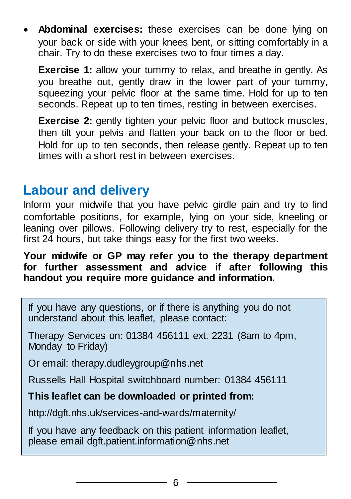**Abdominal exercises:** these exercises can be done lying on your back or side with your knees bent, or sitting comfortably in a chair. Try to do these exercises two to four times a day.

**Exercise 1:** allow your tummy to relax, and breathe in gently. As you breathe out, gently draw in the lower part of your tummy, squeezing your pelvic floor at the same time. Hold for up to ten seconds. Repeat up to ten times, resting in between exercises.

**Exercise 2:** gently tighten your pelvic floor and buttock muscles, then tilt your pelvis and flatten your back on to the floor or bed. Hold for up to ten seconds, then release gently. Repeat up to ten times with a short rest in between exercises.

#### **Labour and delivery**

Inform your midwife that you have pelvic girdle pain and try to find comfortable positions, for example, lying on your side, kneeling or leaning over pillows. Following delivery try to rest, especially for the first 24 hours, but take things easy for the first two weeks.

**Your midwife or GP may refer you to the therapy department for further assessment and advice if after following this handout you require more guidance and information.**

If you have any questions, or if there is anything you do not understand about this leaflet, please contact:

Therapy Services on: 01384 456111 ext. 2231 (8am to 4pm, Monday to Friday)

Or email: therapy.dudleygroup@nhs.net

Russells Hall Hospital switchboard number: 01384 456111

#### **This leaflet can be downloaded or printed from:**

http://dgft.nhs.uk/services-and-wards/maternity/

If you have any feedback on this patient information leaflet, please email dgft.patient.information@nhs.net